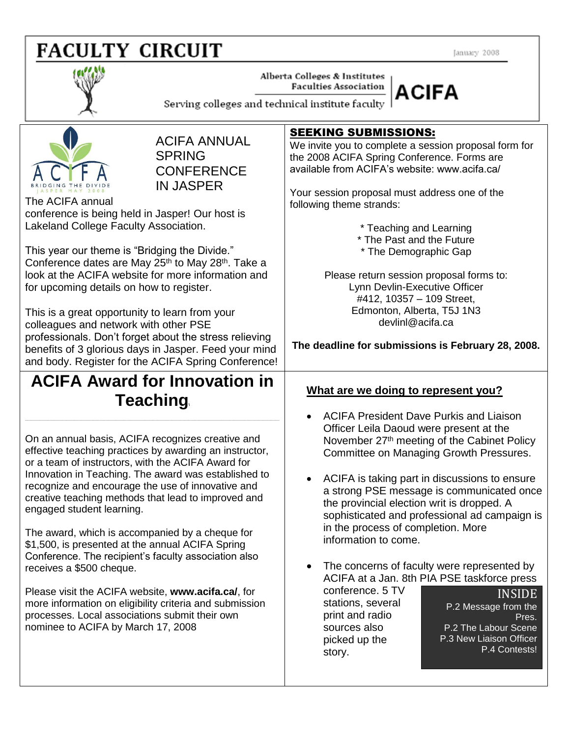# **FACULTY CIRCUIT**

January 2008



Alberta Colleges & Institutes **Faculties Association** 



Serving colleges and technical institute faculty



ACIFA ANNUAL **SPRING CONFERENCE** IN JASPER

The ACIFA annual conference is being held in Jasper! Our host is Lakeland College Faculty Association.

This year our theme is "Bridging the Divide." Conference dates are May 25<sup>th</sup> to May 28<sup>th</sup>. Take a look at the ACIFA website for more information and for upcoming details on how to register.

This is a great opportunity to learn from your colleagues and network with other PSE professionals. Don't forget about the stress relieving benefits of 3 glorious days in Jasper. Feed your mind and body. Register for the ACIFA Spring Conference!

# **ACIFA Award for Innovation in Teaching\**

**\_\_\_\_\_\_\_\_\_\_\_\_\_\_\_\_\_\_\_\_\_\_\_\_\_\_\_\_\_\_\_\_\_\_\_\_\_\_\_\_\_\_\_\_\_\_\_\_\_\_\_\_\_\_\_\_\_\_\_\_\_\_\_\_\_\_\_\_\_\_\_\_\_\_\_\_\_\_\_\_\_\_\_\_\_\_\_\_\_\_\_\_\_\_\_\_\_\_\_\_\_\_\_\_\_\_\_\_\_\_\_\_\_\_\_\_\_\_\_\_\_\_\_**

On an annual basis, ACIFA recognizes creative and effective teaching practices by awarding an instructor, or a team of instructors, with the ACIFA Award for Innovation in Teaching. The award was established to recognize and encourage the use of innovative and creative teaching methods that lead to improved and engaged student learning.

The award, which is accompanied by a cheque for \$1,500, is presented at the annual ACIFA Spring Conference. The recipient's faculty association also receives a \$500 cheque.

Please visit the ACIFA website, **www.acifa.ca/**, for more information on eligibility criteria and submission processes. Local associations submit their own nominee to ACIFA by March 17, 2008

#### SEEKING SUBMISSIONS:

We invite you to complete a session proposal form for the 2008 ACIFA Spring Conference. Forms are available from ACIFA's website: www.acifa.ca/

Your session proposal must address one of the following theme strands:

\* Teaching and Learning

\* The Past and the Future

\* The Demographic Gap

Please return session proposal forms to: Lynn Devlin-Executive Officer #412, 10357 – 109 Street, Edmonton, Alberta, T5J 1N3 devlinl@acifa.ca

**The deadline for submissions is February 28, 2008.**

### **What are we doing to represent you?**

- ACIFA President Dave Purkis and Liaison Officer Leila Daoud were present at the November 27th meeting of the Cabinet Policy Committee on Managing Growth Pressures.
- ACIFA is taking part in discussions to ensure a strong PSE message is communicated once the provincial election writ is dropped. A sophisticated and professional ad campaign is in the process of completion. More information to come.
- The concerns of faculty were represented by ACIFA at a Jan. 8th PIA PSE taskforce press

conference. 5 TV stations, several print and radio sources also picked up the story.

INSIDE P.2 Message from the Pres. P.2 The Labour Scene P.3 New Liaison Officer P.4 Contests!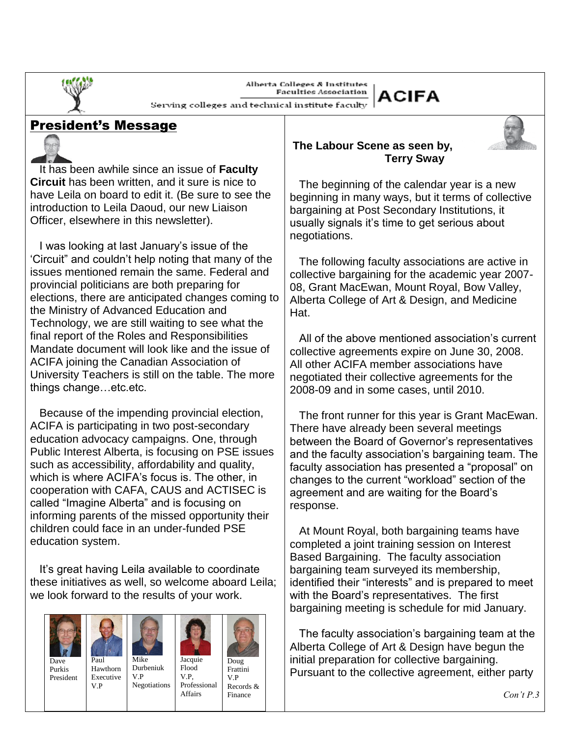Alberta Colleges & Institutes **Faculties Association** 



Serving colleges and technical institute faculty

## President's Message



 $\overline{a}$ 

 It has been awhile since an issue of **Faculty Circuit** has been written, and it sure is nice to have Leila on board to edit it. (Be sure to see the introduction to Leila Daoud, our new Liaison Officer, elsewhere in this newsletter).

 I was looking at last January's issue of the 'Circuit" and couldn't help noting that many of the issues mentioned remain the same. Federal and provincial politicians are both preparing for elections, there are anticipated changes coming to the Ministry of Advanced Education and Technology, we are still waiting to see what the final report of the Roles and Responsibilities Mandate document will look like and the issue of ACIFA joining the Canadian Association of University Teachers is still on the table. The more things change…etc.etc.

 Because of the impending provincial election, ACIFA is participating in two post-secondary education advocacy campaigns. One, through Public Interest Alberta, is focusing on PSE issues such as accessibility, affordability and quality, which is where ACIFA's focus is. The other, in cooperation with CAFA, CAUS and ACTISEC is called "Imagine Alberta" and is focusing on informing parents of the missed opportunity their children could face in an under-funded PSE education system.

 It's great having Leila available to coordinate these initiatives as well, so welcome aboard Leila; we look forward to the results of your work.









Purkis President

V.P

Hawthorn Executive Durbeniuk V.P Negotiations



Doug Frattini V.P Records & Finance

#### **The Labour Scene as seen by, Terry Sway**

 The beginning of the calendar year is a new beginning in many ways, but it terms of collective bargaining at Post Secondary Institutions, it usually signals it's time to get serious about negotiations.

 The following faculty associations are active in collective bargaining for the academic year 2007- 08, Grant MacEwan, Mount Royal, Bow Valley, Alberta College of Art & Design, and Medicine Hat.

 All of the above mentioned association's current collective agreements expire on June 30, 2008. All other ACIFA member associations have negotiated their collective agreements for the 2008-09 and in some cases, until 2010.

 The front runner for this year is Grant MacEwan. There have already been several meetings between the Board of Governor's representatives and the faculty association's bargaining team. The faculty association has presented a "proposal" on changes to the current "workload" section of the agreement and are waiting for the Board's response.

 At Mount Royal, both bargaining teams have completed a joint training session on Interest Based Bargaining. The faculty association bargaining team surveyed its membership, identified their "interests" and is prepared to meet with the Board's representatives. The first bargaining meeting is schedule for mid January.

 The faculty association's bargaining team at the Alberta College of Art & Design have begun the initial preparation for collective bargaining. Pursuant to the collective agreement, either party

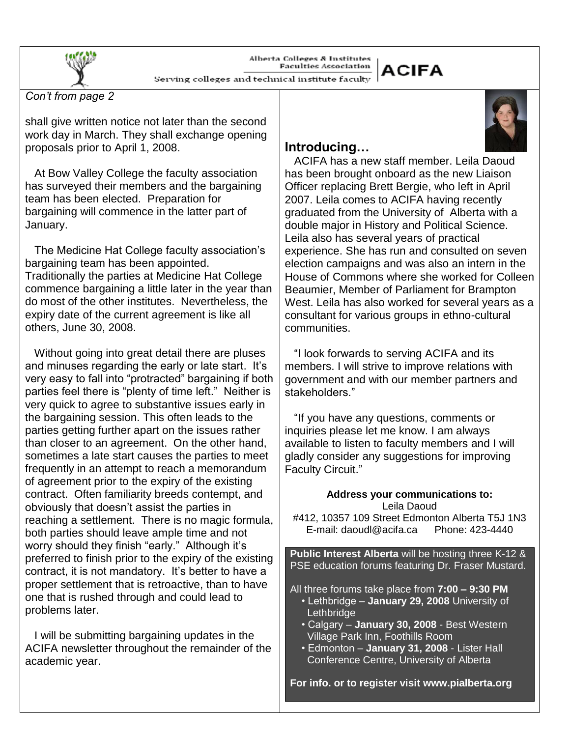Alberta Colleges & Institutes **Faculties Association** 

# **ACIFA**

Serving colleges and technical institute faculty

 $\overline{a}$ *Con't from page 2*

shall give written notice not later than the second work day in March. They shall exchange opening proposals prior to April 1, 2008.

 At Bow Valley College the faculty association has surveyed their members and the bargaining team has been elected. Preparation for bargaining will commence in the latter part of January.

 The Medicine Hat College faculty association's bargaining team has been appointed. Traditionally the parties at Medicine Hat College commence bargaining a little later in the year than do most of the other institutes. Nevertheless, the expiry date of the current agreement is like all others, June 30, 2008.

 Without going into great detail there are pluses and minuses regarding the early or late start. It's very easy to fall into "protracted" bargaining if both parties feel there is "plenty of time left." Neither is very quick to agree to substantive issues early in the bargaining session. This often leads to the parties getting further apart on the issues rather than closer to an agreement. On the other hand, sometimes a late start causes the parties to meet frequently in an attempt to reach a memorandum of agreement prior to the expiry of the existing contract. Often familiarity breeds contempt, and obviously that doesn't assist the parties in reaching a settlement. There is no magic formula, both parties should leave ample time and not worry should they finish "early." Although it's preferred to finish prior to the expiry of the existing contract, it is not mandatory. It's better to have a proper settlement that is retroactive, than to have one that is rushed through and could lead to problems later.

 I will be submitting bargaining updates in the ACIFA newsletter throughout the remainder of the academic year.

## **Introducing…**

 ACIFA has a new staff member. Leila Daoud has been brought onboard as the new Liaison Officer replacing Brett Bergie, who left in April 2007. Leila comes to ACIFA having recently graduated from the University of Alberta with a double major in History and Political Science. Leila also has several years of practical experience. She has run and consulted on seven election campaigns and was also an intern in the House of Commons where she worked for Colleen Beaumier, Member of Parliament for Brampton West. Leila has also worked for several years as a consultant for various groups in ethno-cultural communities.

 "I look forwards to serving ACIFA and its members. I will strive to improve relations with government and with our member partners and stakeholders."

 "If you have any questions, comments or inquiries please let me know. I am always available to listen to faculty members and I will gladly consider any suggestions for improving Faculty Circuit."

| Address your communications to:<br>Leila Daoud<br>#412, 10357 109 Street Edmonton Alberta T5J 1N3<br>E-mail: daoudl@acifa.ca  Phone: 423-4440 |  |  |
|-----------------------------------------------------------------------------------------------------------------------------------------------|--|--|
| <b>Public Interest Alberta</b> will be hosting three K-12 &                                                                                   |  |  |
| PSE education forums featuring Dr. Fraser Mustard.                                                                                            |  |  |
|                                                                                                                                               |  |  |
| All three forums take place from $7:00 - 9:30$ PM                                                                                             |  |  |
| • Lethbridge - January 29, 2008 University of                                                                                                 |  |  |
| Lethbridge                                                                                                                                    |  |  |
| • Calgary - January 30, 2008 - Best Western                                                                                                   |  |  |
| Village Park Inn, Foothills Room                                                                                                              |  |  |
| • Edmonton - January 31, 2008 - Lister Hall                                                                                                   |  |  |
| Conference Centre, University of Alberta                                                                                                      |  |  |
|                                                                                                                                               |  |  |
| For info. or to register visit www.pialberta.org                                                                                              |  |  |